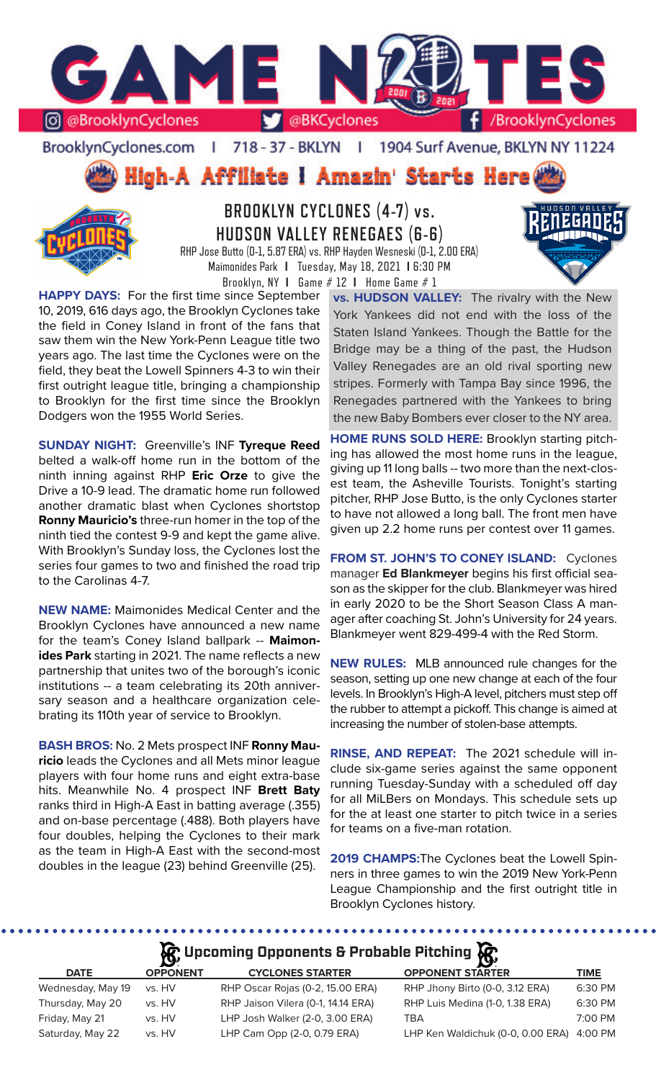

BrooklynCyclones.com | 718 - 37 - BKLYN | 1904 Surf Avenue, BKLYN NY 11224





**BROOKLYN CYCLONES (4-7) vs. HUDSON VALLEY RENEGAES (6-6)** RHP Jose Butto (0-1, 5.87 ERA) vs. RHP Hayden Wesneski (0-1, 2.00 ERA)

Maimonides Park **I** Tuesday, May 18, 2021 **I** 6:30 PM Brooklyn, NY **I** Game # 12 **I** Home Game # 1

**HAPPY DAYS:** For the first time since September 10, 2019, 616 days ago, the Brooklyn Cyclones take the field in Coney Island in front of the fans that saw them win the New York-Penn League title two years ago. The last time the Cyclones were on the field, they beat the Lowell Spinners 4-3 to win their first outright league title, bringing a championship to Brooklyn for the first time since the Brooklyn Dodgers won the 1955 World Series.

**SUNDAY NIGHT:** Greenville's INF **Tyreque Reed** belted a walk-off home run in the bottom of the ninth inning against RHP **Eric Orze** to give the Drive a 10-9 lead. The dramatic home run followed another dramatic blast when Cyclones shortstop **Ronny Mauricio's** three-run homer in the top of the ninth tied the contest 9-9 and kept the game alive. With Brooklyn's Sunday loss, the Cyclones lost the series four games to two and finished the road trip to the Carolinas 4-7.

**NEW NAME:** Maimonides Medical Center and the Brooklyn Cyclones have announced a new name for the team's Coney Island ballpark -- **Maimonides Park** starting in 2021. The name reflects a new partnership that unites two of the borough's iconic institutions -- a team celebrating its 20th anniversary season and a healthcare organization celebrating its 110th year of service to Brooklyn.

**BASH BROS:** No. 2 Mets prospect INF **Ronny Mauricio** leads the Cyclones and all Mets minor league players with four home runs and eight extra-base hits. Meanwhile No. 4 prospect INF **Brett Baty** ranks third in High-A East in batting average (.355) and on-base percentage (.488). Both players have four doubles, helping the Cyclones to their mark as the team in High-A East with the second-most doubles in the league (23) behind Greenville (25).

**vs. HUDSON VALLEY:** The rivalry with the New York Yankees did not end with the loss of the Staten Island Yankees. Though the Battle for the Bridge may be a thing of the past, the Hudson Valley Renegades are an old rival sporting new stripes. Formerly with Tampa Bay since 1996, the Renegades partnered with the Yankees to bring the new Baby Bombers ever closer to the NY area.

**HOME RUNS SOLD HERE:** Brooklyn starting pitching has allowed the most home runs in the league, giving up 11 long balls -- two more than the next-closest team, the Asheville Tourists. Tonight's starting pitcher, RHP Jose Butto, is the only Cyclones starter to have not allowed a long ball. The front men have given up 2.2 home runs per contest over 11 games.

**FROM ST. JOHN'S TO CONEY ISLAND:** Cyclones manager **Ed Blankmeyer** begins his first official season as the skipper for the club. Blankmeyer was hired in early 2020 to be the Short Season Class A manager after coaching St. John's University for 24 years. Blankmeyer went 829-499-4 with the Red Storm.

**NEW RULES:** MLB announced rule changes for the season, setting up one new change at each of the four levels. In Brooklyn's High-A level, pitchers must step off the rubber to attempt a pickoff. This change is aimed at increasing the number of stolen-base attempts.

**RINSE, AND REPEAT:** The 2021 schedule will include six-game series against the same opponent running Tuesday-Sunday with a scheduled off day for all MiLBers on Mondays. This schedule sets up for the at least one starter to pitch twice in a series for teams on a five-man rotation.

**2019 CHAMPS:**The Cyclones beat the Lowell Spinners in three games to win the 2019 New York-Penn League Championship and the first outright title in Brooklyn Cyclones history.

# **A**: Upcoming Opponents & Probable Pitching  $\mathbb{R}$

| $\mathbf{r}$    |                                    |                                   |                    |
|-----------------|------------------------------------|-----------------------------------|--------------------|
| <b>OPPONENT</b> | <b>CYCLONES STARTER</b>            | <b>OPPONENT STARTER</b>           | <b>TIME</b>        |
| vs. HV          | RHP Oscar Rojas (0-2, 15.00 ERA)   | RHP Jhony Birto (0-0, 3.12 ERA)   | 6:30 PM            |
| vs. HV          | RHP Jaison Vilera (0-1, 14.14 ERA) | RHP Luis Medina (1-0, 1.38 ERA)   | 6:30 PM            |
| vs. HV          | LHP Josh Walker (2-0, 3.00 ERA)    | TBA                               | 7:00 PM            |
| vs. HV          | LHP Cam Opp (2-0, 0.79 ERA)        | LHP Ken Waldichuk (0-0, 0.00 ERA) | 4:00 PM            |
|                 |                                    |                                   | $\boldsymbol{\nu}$ |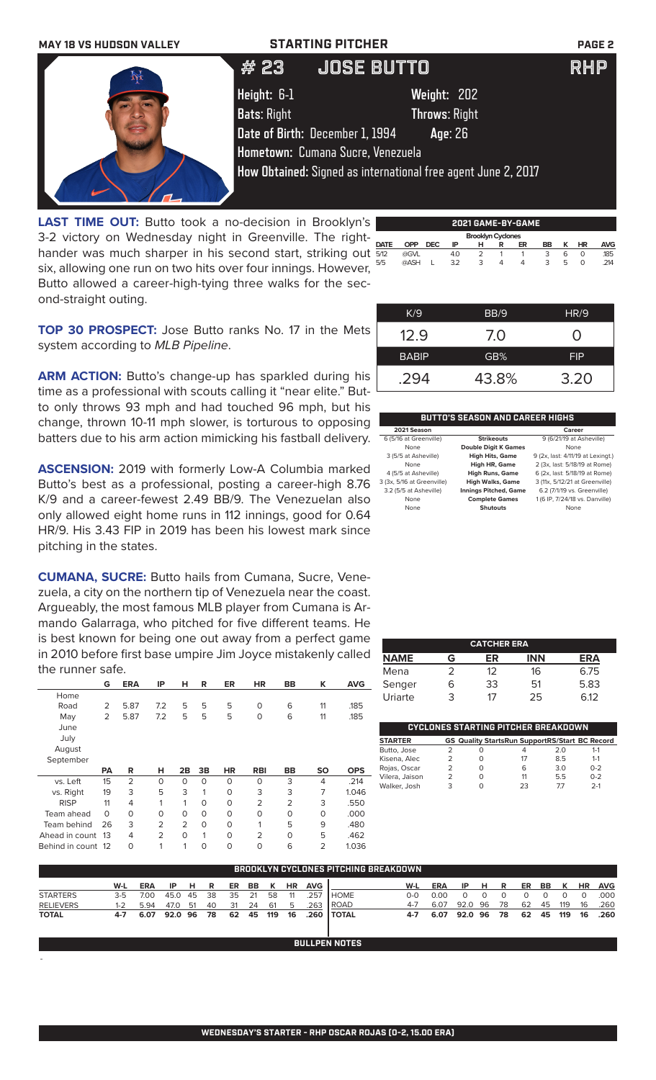

 **Brooklyn Cyclones**  3-2 victory on Wednesday night in Greenville. The right-LAST TIME OUT: Butto took a no-decision in Brooklyn's hander was much sharper in his second start, striking out six, allowing one run on two hits over four innings. However, Butto allowed a career-high-tying three walks for the second-straight outing.

| <b>DATE</b> | <b>OPP</b> | <b>DEC</b> | IP  | н              | R    | ER | BB | κ | <b>HR</b> | <b>AVG</b> |
|-------------|------------|------------|-----|----------------|------|----|----|---|-----------|------------|
| 5/12        | @GVL       |            | 4.0 | $\overline{2}$ | 1    | 1  | 3  | 6 | $\circ$   | .185       |
| 5/5         | @ASH       | L          | 3.2 | 3              | 4    | 4  | 3  | 5 | 0         | .214       |
|             |            |            |     |                |      |    |    |   |           |            |
|             |            |            |     |                |      |    |    |   |           |            |
|             |            |            |     |                |      |    |    |   |           |            |
|             | K/9        |            |     |                | BB/9 |    |    |   | HR/9      |            |
|             |            |            |     |                |      |    |    |   |           |            |
|             | 12.9       |            |     |                |      |    |    |   |           |            |
|             |            |            |     |                | 7.0  |    |    |   |           |            |

**TOP 30 PROSPECT:** Jose Butto ranks No. 17 in the Mets system according to *MLB Pipeline*.

ARM ACTION: Butto's change-up has sparkled during his time as a professional with scouts calling it "near elite." Butto only throws 93 mph and had touched 96 mph, but his change, thrown 10-11 mph slower, is torturous to opposing batters due to his arm action mimicking his fastball delivery.

**ASCENSION:** 2019 with formerly Low-A Columbia marked Butto's best as a professional, posting a career-high 8.76 K/9 and a career-fewest 2.49 BB/9. The Venezuelan also only allowed eight home runs in 112 innings, good for 0.64 HR/9. His 3.43 FIP in 2019 has been his lowest mark since pitching in the states.

**CUMANA, SUCRE:** Butto hails from Cumana, Sucre, Venezuela, a city on the northern tip of Venezuela near the coast. Argueably, the most famous MLB player from Cumana is Armando Galarraga, who pitched for five different teams. He is best known for being one out away from a perfect game in 2010 before first base umpire Jim Joyce mistakenly called the runner safe.

|                | G         | <b>ERA</b>     | ΙP             | н              | R        | ER        | HR             | <b>BB</b>      | ĸ         | <b>AVG</b> |
|----------------|-----------|----------------|----------------|----------------|----------|-----------|----------------|----------------|-----------|------------|
| Home           |           |                |                |                |          |           |                |                |           |            |
| Road           | 2         | 5.87           | 7.2            | 5              | 5        | 5         | O              | 6              | 11        | .185       |
| May            | 2         | 5.87           | 7.2            | 5              | 5        | 5         | 0              | 6              | 11        | .185       |
| June           |           |                |                |                |          |           |                |                |           |            |
| July           |           |                |                |                |          |           |                |                |           |            |
| August         |           |                |                |                |          |           |                |                |           |            |
| September      |           |                |                |                |          |           |                |                |           |            |
|                |           |                |                |                |          |           |                |                |           |            |
|                | <b>PA</b> | R              | н              | 2B             | 3B       | <b>HR</b> | <b>RBI</b>     | <b>BB</b>      | <b>SO</b> | <b>OPS</b> |
| vs. Left       | 15        | $\overline{2}$ | $\Omega$       | $\Omega$       | $\Omega$ | $\Omega$  | $\Omega$       | 3              | 4         | .214       |
| vs. Right      | 19        | 3              | 5              | 3              | 1        | $\Omega$  | 3              | 3              | 7         | 1.046      |
| <b>RISP</b>    | 11        | 4              | 1              | 1              | $\Omega$ | $\Omega$  | $\overline{2}$ | $\overline{2}$ | 3         | .550       |
| Team ahead     | $\Omega$  | $\Omega$       | 0              | $\Omega$       | $\Omega$ | $\Omega$  | O              | $\Omega$       | $\Omega$  | .000       |
| Team behind    | 26        | 3              | $\overline{2}$ | $\overline{2}$ | $\circ$  | $\Omega$  | 1              | 5              | 9         | .480       |
| Ahead in count | 13        | 4              | $\overline{2}$ | $\Omega$       | 1        | $\Omega$  | $\overline{2}$ | $\Omega$       | 5         | .462       |

-

| 294                    | 43.8%                                  | 3.20                     |
|------------------------|----------------------------------------|--------------------------|
|                        |                                        |                          |
|                        | <b>BUTTO'S SEASON AND CAREER HIGHS</b> |                          |
| 2021 Season            |                                        | Career                   |
| 6 (5/16 at Greenville) | <b>Strikeouts</b>                      | 9 (6/21/19 at Asheville) |

BABIP **GB%** FIP

| 6 (5/16 at Greenville)     | <b>Strikeouts</b>            | 9 (6/21/19 at Asheville)          |
|----------------------------|------------------------------|-----------------------------------|
| None                       | <b>Double Digit K Games</b>  | None                              |
| 3 (5/5 at Asheville)       | <b>High Hits, Game</b>       | 9 (2x, last: 4/11/19 at Lexingt.) |
| None                       | High HR, Game                | 2 (3x, last: 5/18/19 at Rome)     |
| 4 (5/5 at Asheville)       | <b>High Runs, Game</b>       | 6 (2x, last: 5/18/19 at Rome)     |
| 3 (3x, 5/16 at Greenville) | <b>High Walks, Game</b>      | 3 (11x, 5/12/21 at Greenville)    |
| 3.2 (5/5 at Asheville)     | <b>Innings Pitched, Game</b> | 6.2 (7/1/19 vs. Greenville)       |
| None                       | <b>Complete Games</b>        | 1 (6 IP, 7/24/18 vs. Danville)    |
| None                       | <b>Shutouts</b>              | None                              |
|                            |                              |                                   |

| <b>CATCHER ERA</b> |   |    |            |      |  |  |  |  |
|--------------------|---|----|------------|------|--|--|--|--|
| <b>NAME</b>        | G | ER | <b>INN</b> | ERA  |  |  |  |  |
| Mena               | フ | 12 | 16         | 6.75 |  |  |  |  |
| Senger             | 6 | 33 | 51         | 5.83 |  |  |  |  |
| Uriarte            | 3 | 17 | 25         | 6.12 |  |  |  |  |

| CYCLONES STARTING PITCHER BREAKDOWN |   |   |                                                       |     |         |  |  |  |
|-------------------------------------|---|---|-------------------------------------------------------|-----|---------|--|--|--|
| <b>STARTER</b>                      |   |   | <b>GS Quality StartsRun SupportRS/Start BC Record</b> |     |         |  |  |  |
| Butto, Jose                         |   | Ω |                                                       | 2.0 | $1 - 1$ |  |  |  |
| Kisena, Alec                        |   | O | 17                                                    | 85  | $1 - 1$ |  |  |  |
| Rojas, Oscar                        | 2 | O | 6                                                     | 30  | $0 - 2$ |  |  |  |
| Vilera, Jaison                      |   | O | 11                                                    | 55  | $0 - 2$ |  |  |  |
| Walker, Josh                        | 3 |   | 23                                                    | 77  | $2-1$   |  |  |  |
|                                     |   |   |                                                       |     |         |  |  |  |

| BROOKLYN CYCLONES PITCHING BREAKDOWN |       |                      |         |      |    |    |        |    |           |            |              |     |            |         |     |    |    |    |     |           |            |
|--------------------------------------|-------|----------------------|---------|------|----|----|--------|----|-----------|------------|--------------|-----|------------|---------|-----|----|----|----|-----|-----------|------------|
|                                      | W-L   | <b>ERA</b>           | IP      | -н   | R  | ER | BB     | K  | <b>HR</b> | <b>AVG</b> |              | W-L | <b>ERA</b> | IP      | н.  | R  | ER | BB | K   | <b>HR</b> | <b>AVG</b> |
| <b>STARTERS</b>                      | $3-5$ | 7.00                 | 45.0 45 |      | 38 | 35 | 21     | 58 | - 11      | 257        | <b>HOME</b>  | റ-റ | 0.00       |         |     |    |    |    |     |           | .000       |
| <b>RELIEVERS</b>                     | 1-2   | 5.94                 | 47.0    | - 51 | 40 | 31 | -24    | 61 | -5        | .263       | ROAD         |     | 6.07       | 92.0    | -96 | 78 | 62 | 45 | 119 | 16        | .260       |
| <b>TOTAL</b>                         | 4-7   | $6.07$ $\phantom{0}$ | 92.0 96 |      | 78 | 62 | 45 119 |    | 16        |            | .260   TOTAL | 4-7 | 6.07       | 92.0 96 |     | 78 | 62 | 45 | 119 | 16        | .260       |

**BULLPEN NOTES**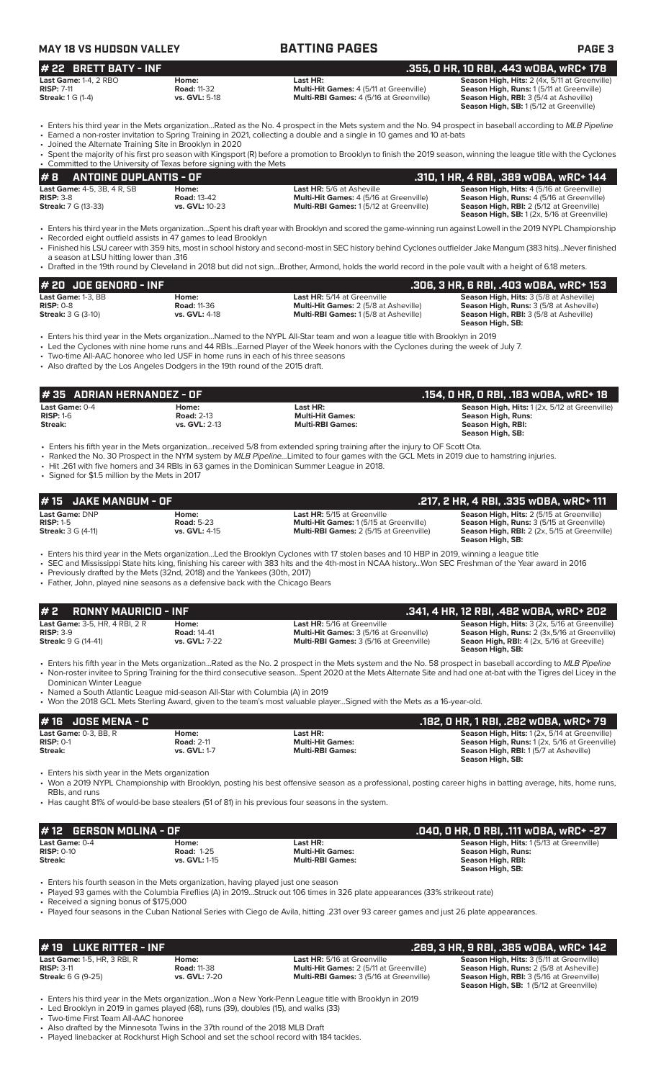| MAY 18 VS HUDSON VALLEY | <b>BATTING PAGES</b> | <b>PAGE 3</b>                           |
|-------------------------|----------------------|-----------------------------------------|
| $#$ 22 BRETT BATY - INF |                      | .355, 0 HR, 10 RBI, .443 w0BA, wRC+ 178 |

| Last Game: 1-4, 2 RBO      | Home:                | Last HR:                                       | Season High, Hits: 2 (4x, 5/11 at Greenville)   |  |
|----------------------------|----------------------|------------------------------------------------|-------------------------------------------------|--|
| <b>RISP: 7-11</b>          | <b>Road: 11-32</b>   | <b>Multi-Hit Games: 4 (5/11 at Greenville)</b> | <b>Season High, Runs: 1(5/11 at Greenville)</b> |  |
| <b>Streak:</b> $1 G (1-4)$ | <b>vs. GVL: 5-18</b> | <b>Multi-RBI Games:</b> 4 (5/16 at Greenville) | <b>Season High, RBI: 3 (5/4 at Asheville)</b>   |  |
|                            |                      |                                                | Season High, SB: 1(5/12 at Greenville)          |  |

**Stream:** Stream: **3** (5/4 at Asheville) **Season High, SB:** 1 (5/12 at Greenville)

• Enters his third year in the Mets organization...Rated as the No. 4 prospect in the Mets system and the No. 94 prospect in baseball according to *MLB Pipeline* • Earned a non-roster invitation to Spring Training in 2021, collecting a double and a single in 10 games and 10 at-bats

• Joined the Alternate Training Site in Brooklyn in 2020

| $\#$ 8 ANTOINE DUPLANTIS - OF                                                                                                                                                                                                  | . .310, 1 HR, 4 RBI, .389 wOBA, wRC+ 144 \                                                                                                                           |
|--------------------------------------------------------------------------------------------------------------------------------------------------------------------------------------------------------------------------------|----------------------------------------------------------------------------------------------------------------------------------------------------------------------|
| • Committed to the University of Texas before signing with the Mets                                                                                                                                                            |                                                                                                                                                                      |
|                                                                                                                                                                                                                                | • Spent the majority of his first pro season with Kingsport (R) before a promotion to Brooklyn to finish the 2019 season, winning the league title with the Cyclones |
| $\sim$ 0.000 and 1.000 and 1.000 and 1.000 and 2.000 and 2.000 and 2.000 and 2.000 and 2.000 and 2.000 and 2.000 and 2.000 and 2.000 and 2.000 and 2.000 and 2.000 and 2.000 and 2.000 and 2.000 and 2.000 and 2.000 and 2.000 |                                                                                                                                                                      |

| <b>Last Game: 4-5, 3B, 4 R, SB</b> | Home:                 | <b>Last HR:</b> 5/6 at Asheville               | <b>Season High, Hits: 4 (5/16 at Greenville)</b>   |
|------------------------------------|-----------------------|------------------------------------------------|----------------------------------------------------|
| $RISP: 3-8$                        | <b>Road: 13-42</b>    | <b>Multi-Hit Games:</b> 4 (5/16 at Greenville) | <b>Season High, Runs:</b> 4 (5/16 at Greenville)   |
| <b>Streak:</b> 7 G (13-33)         | <b>vs. GVL:</b> 10-23 | <b>Multi-RBI Games: 1(5/12 at Greenville)</b>  | <b>Season High, RBI:</b> 2 (5/12 at Greenville)    |
|                                    |                       |                                                | <b>Season High, SB:</b> 1 (2x, 5/16 at Greenville) |
|                                    |                       |                                                |                                                    |
|                                    |                       |                                                |                                                    |

• Enters his third year in the Mets organization...Spent his draft year with Brooklyn and scored the game-winning run against Lowell in the 2019 NYPL Championship • Recorded eight outfield assists in 47 games to lead Brooklyn

• Finished his LSU career with 359 hits, most in school history and second-most in SEC history behind Cyclones outfielder Jake Mangum (383 hits)...Never finished a season at LSU hitting lower than .316

• Drafted in the 19th round by Cleveland in 2018 but did not sign...Brother, Armond, holds the world record in the pole vault with a height of 6.18 meters.

| $#$ 20 JDE GENORD - INF   |                    |                                              | .306, 3 HR, 6 RBI, .403 w0BA, wRC+ 153         |
|---------------------------|--------------------|----------------------------------------------|------------------------------------------------|
| Last Game: 1-3. BB        | Home:              | <b>Last HR:</b> 5/14 at Greenville           | <b>Season High, Hits: 3 (5/8 at Asheville)</b> |
| $RISP: 0-8$               | <b>Road: 11-36</b> | <b>Multi-Hit Games: 2 (5/8 at Asheville)</b> | <b>Season High, Runs: 3 (5/8 at Asheville)</b> |
| <b>Streak: 3 G (3-10)</b> | vs. GVL: 4-18      | <b>Multi-RBI Games: 1(5/8 at Asheville)</b>  | <b>Season High, RBI:</b> 3 (5/8 at Asheville)  |
|                           |                    |                                              | Season High, SB:                               |

• Enters his third year in the Mets organization...Named to the NYPL All-Star team and won a league title with Brooklyn in 2019

• Led the Cyclones with nine home runs and 44 RBIs...Earned Player of the Week honors with the Cyclones during the week of July 7.

• Two-time All-AAC honoree who led USF in home runs in each of his three seasons

• Also drafted by the Los Angeles Dodgers in the 19th round of the 2015 draft.

| l # 35   ADRIAN HERNANDEZ - OF |                   |                         | .154, 0 HR, 0 RBI, .183 w0BA, wRC+ 18               |
|--------------------------------|-------------------|-------------------------|-----------------------------------------------------|
| Last Game: $0-4$               | Home:             | Last HR:                | <b>Season High, Hits: 1(2x, 5/12 at Greenville)</b> |
| $RISP: 1-6$                    | <b>Road: 2-13</b> | <b>Multi-Hit Games:</b> | Season High, Runs:                                  |
| Streak:                        | vs. GVL: 2-13     | <b>Multi-RBI Games:</b> | Season High, RBI:                                   |
|                                |                   |                         | Season High, SB:                                    |

• Ranked the No. 30 Prospect in the NYM system by *MLB Pipeline...*Limited to four games with the GCL Mets in 2019 due to hamstring injuries.

• Hit .261 with five homers and 34 RBIs in 63 games in the Dominican Summer League in 2018.

• Signed for \$1.5 million by the Mets in 2017

| <b>JAKE MANGUM - OF</b><br># 15                                                  |                                                                                                                                                              |                                                                                                                                                                                                                                                                                                   | .217, 2 HR, 4 RBI, .335 wDBA, wRC+ 111                                                                                                                          |
|----------------------------------------------------------------------------------|--------------------------------------------------------------------------------------------------------------------------------------------------------------|---------------------------------------------------------------------------------------------------------------------------------------------------------------------------------------------------------------------------------------------------------------------------------------------------|-----------------------------------------------------------------------------------------------------------------------------------------------------------------|
| Last Game: DNP<br><b>RISP: 1-5</b><br><b>Streak:</b> 3 G (4-11)                  | Home:<br><b>Road: 5-23</b><br>vs. GVL: 4-15                                                                                                                  | Last HR: 5/15 at Greenville<br>Multi-Hit Games: 1 (5/15 at Greenville)<br>Multi-RBI Games: 2 (5/15 at Greenville)                                                                                                                                                                                 | Season High, Hits: 2 (5/15 at Greenville)<br>Season High, Runs: 3 (5/15 at Greenville)<br>Season High, RBI: 2 (2x, 5/15 at Greenville)<br>Season High, SB:      |
|                                                                                  | • Previously drafted by the Mets (32nd, 2018) and the Yankees (30th, 2017)<br>• Father, John, played nine seasons as a defensive back with the Chicago Bears | • Enters his third year in the Mets organizationLed the Brooklyn Cyclones with 17 stolen bases and 10 HBP in 2019, winning a league title<br>• SEC and Mississippi State hits king, finishing his career with 383 hits and the 4th-most in NCAA historyWon SEC Freshman of the Year award in 2016 |                                                                                                                                                                 |
| #2<br><b>RONNY MAURICIO - INF</b>                                                |                                                                                                                                                              |                                                                                                                                                                                                                                                                                                   | .341, 4 HR, 12 RBI, .482 WOBA, WRC+ 202                                                                                                                         |
| Last Game: 3-5, HR, 4 RBI, 2 R<br><b>RISP: 3-9</b><br><b>Streak: 9 G (14-41)</b> | Home:<br><b>Road: 14-41</b><br>vs. GVL: 7-22                                                                                                                 | Last HR: 5/16 at Greenville<br>Multi-Hit Games: 3 (5/16 at Greenville)<br>Multi-RBI Games: 3 (5/16 at Greenville)                                                                                                                                                                                 | Season High, Hits: 3 (2x, 5/16 at Greenville)<br>Season High, Runs: 2 (3x,5/16 at Greenville)<br>Seaon High, RBI: 4 (2x, 5/16 at Greeville)<br>Season High, SB: |
| Dominican Winter League<br>#16 JOSE MENA - C                                     | • Named a South Atlantic League mid-season All-Star with Columbia (A) in 2019                                                                                | • Won the 2018 GCL Mets Sterling Award, given to the team's most valuable playerSigned with the Mets as a 16-year-old.                                                                                                                                                                            | .182, 0 HR, 1 RBI, .282 w0BA, wRC+ 79                                                                                                                           |
| Last Game: 0-3, BB, R<br><b>RISP: 0-1</b><br>Streak:                             | Home:<br><b>Road: 2-11</b><br>vs. GVL: 1-7                                                                                                                   | Last HR:<br><b>Multi-Hit Games:</b><br><b>Multi-RBI Games:</b>                                                                                                                                                                                                                                    | Season High, Hits: 1 (2x, 5/14 at Greenville)<br>Season High, Runs: 1 (2x, 5/16 at Greenville)<br>Season High, RBI: 1(5/7 at Asheville)<br>Season High, SB:     |
| • Enters his sixth year in the Mets organization<br>RBIs, and runs               |                                                                                                                                                              | • Won a 2019 NYPL Championship with Brooklyn, posting his best offensive season as a professional, posting career highs in batting average, hits, home runs,<br>• Has caught 81% of would-be base stealers (51 of 81) in his previous four seasons in the system.                                 |                                                                                                                                                                 |
| <b>GERSON MOLINA - OF</b><br># 12                                                |                                                                                                                                                              |                                                                                                                                                                                                                                                                                                   | .040, 0 HR, 0 RBI, .111 w0BA, wRC+ -27                                                                                                                          |
| Last Game: 0-4<br><b>RISP: 0-10</b><br>Streak:                                   | Home:<br><b>Road: 1-25</b><br>vs. GVL: 1-15                                                                                                                  | Last HR:<br><b>Multi-Hit Games:</b><br><b>Multi-RBI Games:</b>                                                                                                                                                                                                                                    | Season High, Hits: 1(5/13 at Greenville)<br><b>Season High, Runs:</b><br>Season High, RBI:<br>Season High, SB:                                                  |
| • Received a signing bonus of \$175,000                                          | • Enters his fourth season in the Mets organization, having played just one season                                                                           | • Played 93 games with the Columbia Fireflies (A) in 2019Struck out 106 times in 326 plate appearances (33% strikeout rate)<br>• Played four seasons in the Cuban National Series with Ciego de Avila, hitting .231 over 93 career games and just 26 plate appearances.                           |                                                                                                                                                                 |

**# 19 LUKE RITTER - INF .289, 3 HR, 9 RBI, .385 wOBA, wRC+ 142**

| <b>Streak:</b> 6 G 19-25) | VS. GVL: 7-20                                                                              | <b>Multi-RBI Games:</b> 3 (5/16 at Greenville)                                                         | season migh, r<br><b>Season High, 9</b> |
|---------------------------|--------------------------------------------------------------------------------------------|--------------------------------------------------------------------------------------------------------|-----------------------------------------|
|                           | Lead Docentius to OAAO to access a decorating ON access (OO). Headed a MEV accidental (OO) | • Enters his third year in the Mets organizationWon a New York-Penn League title with Brooklyn in 2019 |                                         |

**Last Game:** 1-5, HR, 3 RBI, R<br>**RISP:** 3-11<br>**RISP:** 3-11<br>**RISP:** 3-11<br>**RISP:** 3-11<br>**Multi-DRI Games:** 2 (5/16 at Greenville)<br>**Multi-DRI Games:** 2 (5/16 at Greenville)<br>**Season High, Runs:** 2 (5/16 at Greenville) **RISP:** 3-11 **Road:** 11-38 **Multi-Hit Games:** 2 (5/11 at Greenville) **Season High, Runs:** 2 (5/8 at Asheville) **RBI:** 3 (5/16 at Greenville) **SB:** 1 (5/12 at Greenville)

• Led Brooklyn in 2019 in games played (68), runs (39), doubles (15), and walks (33) • Two-time First Team All-AAC honoree

• Also drafted by the Minnesota Twins in the 37th round of the 2018 MLB Draft

Played linebacker at Rockhurst High School and set the school record with 184 tackles.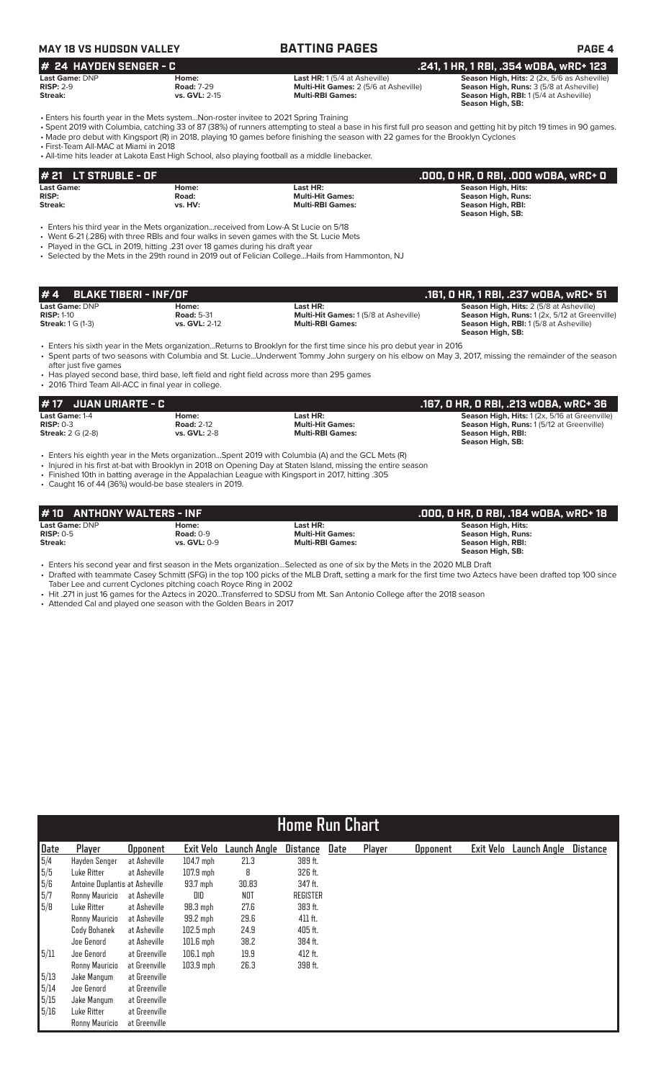# **MAY 18 VS HUDSON VALLEY BATTING PAGES PAGE 4**

### **24 HAYDEN SENGER - C**<br>Last HR: 1(5/4 at Asheville) **241, 1 HR, 1 RBI, .354 wOBA, wRC+ 123**<br>Risp: 2-9 **Risp: 2-9 Risp: 2-9 Reason High, Riss: 3 (5/6 at Asheville)** Risp: 2-9 **Road: 7-29** Multi-Hit Games: 2 (5/6 at Ash **Last Game:** DNP **Home: Last HR:** 1 (5/4 at Asheville) **Season High, Hits:** 2 (2x, 5/6 as Asheville) **RISP:** 2-9 **Road:** 7-29 **Multi-Hit Games:** 2 (5/6 at Asheville) **Season High, Runs:** 3 (5/8 at Asheville)

**Streak: vs. GVL:** 2-15 **Multi-RBI Games: Streak: Season High, RBI:** 1 (5/4 at Asheville) **Season High, SB:** 

• Enters his fourth year in the Mets system...Non-roster invitee to 2021 Spring Training

• Spent 2019 with Columbia, catching 33 of 87 (38%) of runners attempting to steal a base in his first full pro season and getting hit by pitch 19 times in 90 games. • Made pro debut with Kingsport (R) in 2018, playing 10 games before finishing the season with 22 games for the Brooklyn Cyclones

• First-Team All-MAC at Miami in 2018

• All-time hits leader at Lakota East High School, also playing football as a middle linebacker.

| $\sharp$ 21 $\;$ LT STRUBLE - OF |         |                         | .000. 0 HR. 0 RBI. .000 w0BA. wRC+ 0 |
|----------------------------------|---------|-------------------------|--------------------------------------|
| <b>Last Game:</b>                | Home:   | Last HR:                | Season High, Hits:                   |
| <b>RISP:</b>                     | Road:   | <b>Multi-Hit Games:</b> | Season High, Runs:                   |
| Streak:                          | vs. HV: | <b>Multi-RBI Games:</b> | Season High, RBI:                    |
|                                  |         |                         | Season High, SB:                     |

• Enters his third year in the Mets organization...received from Low-A St Lucie on 5/18

• Went 6-21 (.286) with three RBIs and four walks in seven games with the St. Lucie Mets

• Played in the GCL in 2019, hitting .231 over 18 games during his draft year

• Selected by the Mets in the 29th round in 2019 out of Felician College...Hails from Hammonton, NJ

| $# 4$ BLAKE TIBERI - INF/OF |                   |                                             | .161, 0 HR, 1 RBI, .237 w0BA, wRC+ 51          |
|-----------------------------|-------------------|---------------------------------------------|------------------------------------------------|
| <b>Last Game: DNP</b>       | Home:             | Last HR:                                    | <b>Season High, Hits: 2 (5/8 at Asheville)</b> |
| $RISP: 1-10$                | <b>Road: 5-31</b> | <b>Multi-Hit Games: 1(5/8 at Asheville)</b> | Season High, Runs: 1 (2x, 5/12 at Greenville)  |
| <b>Streak: 1 G (1-3)</b>    | vs. GVL: 2-12     | <b>Multi-RBI Games:</b>                     | <b>Season High, RBI:</b> 1(5/8 at Asheville)   |
|                             |                   |                                             | Season High, SB:                               |

• Enters his sixth year in the Mets organization...Returns to Brooklyn for the first time since his pro debut year in 2016

• Spent parts of two seasons with Columbia and St. Lucie...Underwent Tommy John surgery on his elbow on May 3, 2017, missing the remainder of the season after just five games

• Has played second base, third base, left field and right field across more than 295 games • 2016 Third Team All-ACC in final year in college.

| <b>#17 JUAN URIARTE - C</b> |                     |                         | . 167, O HR, O RBI, .213 wOBA, wRC+ 36. .            |
|-----------------------------|---------------------|-------------------------|------------------------------------------------------|
| <b>Last Game: 1-4</b>       | Home:               | Last HR:                | <b>Season High, Hits: 1 (2x, 5/16 at Greenville)</b> |
| $RISP: 0-3$                 | <b>Road: 2-12</b>   | <b>Multi-Hit Games:</b> | <b>Season High, Runs: 1(5/12 at Greenville)</b>      |
| <b>Streak:</b> $2 G (2-8)$  | <b>vs. GVL: 2-8</b> | <b>Multi-RBI Games:</b> | Season High, RBI:                                    |
|                             |                     |                         | Season High, SB:                                     |

• Enters his eighth year in the Mets organization...Spent 2019 with Columbia (A) and the GCL Mets (R)

• Injured in his first at-bat with Brooklyn in 2018 on Opening Day at Staten Island, missing the entire season

• Finished 10th in batting average in the Appalachian League with Kingsport in 2017, hitting .305

• Caught 16 of 44 (36%) would-be base stealers in 2019.

| #10 ANTHONY WALTERS - INF |                     |                         | .000. 0 HR. 0 RBI. .184 w0BA. wRC+ 18 |
|---------------------------|---------------------|-------------------------|---------------------------------------|
| Last Game: DNP            | Home:               | Last HR:                | Season High, Hits:                    |
| $RISP: 0-5$               | <b>Road: 0-9</b>    | <b>Multi-Hit Games:</b> | Season High, Runs:                    |
| Streak:                   | <b>vs. GVL: 0-9</b> | <b>Multi-RBI Games:</b> | Season High, RBI:                     |
|                           |                     |                         | Season High, SB:                      |

• Enters his second year and first season in the Mets organization...Selected as one of six by the Mets in the 2020 MLB Draft

• Drafted with teammate Casey Schmitt (SFG) in the top 100 picks of the MLB Draft, setting a mark for the first time two Aztecs have been drafted top 100 since Taber Lee and current Cyclones pitching coach Royce Ring in 2002

• Hit .271 in just 16 games for the Aztecs in 2020...Transferred to SDSU from Mt. San Antonio College after the 2018 season

• Attended Cal and played one season with the Golden Bears in 2017

|                                                   | <b>Home Run Chart</b>          |                 |                  |              |                 |      |        |                 |           |                     |                 |
|---------------------------------------------------|--------------------------------|-----------------|------------------|--------------|-----------------|------|--------|-----------------|-----------|---------------------|-----------------|
| Date                                              | Player                         | <b>Opponent</b> | <b>Exit Velo</b> | Launch Angle | <b>Distance</b> | Date | Player | <b>Opponent</b> | Exit Velo | <b>Launch Angle</b> | <b>Distance</b> |
| 5/4                                               | Hayden Senger                  | at Asheville    | $104.7$ mph      | 21.3         | 389 ft.         |      |        |                 |           |                     |                 |
| $\sqrt{5/5}$                                      | Luke Ritter                    | at Asheville    | $107.9$ mph      | 8            | 326 ft.         |      |        |                 |           |                     |                 |
| $\begin{bmatrix} 5/6 \\ 5/7 \\ 5/8 \end{bmatrix}$ | Antoine Duplantis at Asheville |                 | 93.7 mph         | 30.83        | 347 ft.         |      |        |                 |           |                     |                 |
|                                                   | Ronny Mauricio                 | at Asheville    | DID              | <b>NOT</b>   | <b>REGISTER</b> |      |        |                 |           |                     |                 |
|                                                   | Luke Ritter                    | at Asheville    | $98.3$ mph       | 27.6         | 383 ft.         |      |        |                 |           |                     |                 |
|                                                   | Ronny Mauricio                 | at Asheville    | 99.2 mph         | 29.6         | 411 ft.         |      |        |                 |           |                     |                 |
|                                                   | Cody Bohanek                   | at Asheville    | $102.5$ mph      | 24.9         | 405 ft.         |      |        |                 |           |                     |                 |
|                                                   | Joe Genord                     | at Asheville    | $101.6$ mph      | 38.2         | 384 ft.         |      |        |                 |           |                     |                 |
| 5/11                                              | Joe Genord                     | at Greenville   | $106.1$ mph      | 19.9         | 412 ft.         |      |        |                 |           |                     |                 |
|                                                   | Ronny Mauricio                 | at Greenville   | $103.9$ mph      | 26.3         | 398 ft.         |      |        |                 |           |                     |                 |
| 5/13                                              | Jake Mangum                    | at Greenville   |                  |              |                 |      |        |                 |           |                     |                 |
| 5/14                                              | Joe Genord                     | at Greenville   |                  |              |                 |      |        |                 |           |                     |                 |
| 5/15                                              | Jake Mangum                    | at Greenville   |                  |              |                 |      |        |                 |           |                     |                 |
| 5/16                                              | Luke Ritter                    | at Greenville   |                  |              |                 |      |        |                 |           |                     |                 |
|                                                   | Ronny Mauricio                 | at Greenville   |                  |              |                 |      |        |                 |           |                     |                 |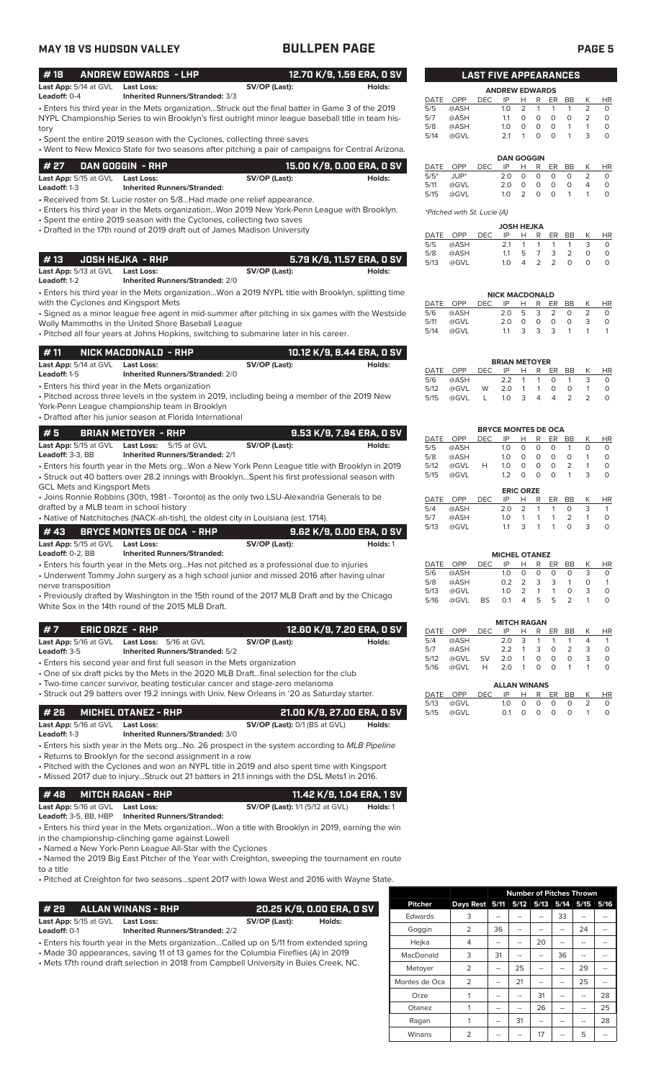### • Enters his third year in the Mets organization...Struck out the final batter in Game 3 of the 2019 NYPL Championship Series to win Brooklyn's first outright minor league baseball title in team history **# 18 ANDREW EDWARDS - LHP 12.70 K/9, 1.59 ERA, 0 SV Last App:**  $5/14$  at GVL **Last Loss:** SV/OP (Last): **Leadoff:** 0-4 **Inherited Runners/Stranded:**  $3/3$ **Leadoff:** 0-4 **Inherited Runners/Stranded:** 3/3

• Spent the entire 2019 season with the Cyclones, collecting three saves

• Went to New Mexico State for two seasons after pitching a pair of campaigns for Central Arizona.

| # 27                                           | DAN GOGGIN - RHP                   |               | 15.00 K/9, 0.00 ERA, 0 SV |
|------------------------------------------------|------------------------------------|---------------|---------------------------|
| <b>Last App:</b> 5/15 at GVL <b>Last Loss:</b> |                                    | SV/OP (Last): | Holds:                    |
| <b>Leadoff:</b> 1-3                            | <b>Inherited Runners/Stranded:</b> |               |                           |
|                                                |                                    |               |                           |

• Received from St. Lucie roster on 5/8...Had made one relief appearance.

• Enters his third year in the Mets organization...Won 2019 New York-Penn League with Brooklyn. • Spent the entire 2019 season with the Cyclones, collecting two saves

• Drafted in the 17th round of 2019 draft out of James Madison University

### **# 13 JOSH HEJKA - RHP 5.79 K/9, 11.57 ERA, 0 SV Last App:** 5/13 at GVL **Last Loss: SV/OP (Last): SV/OP (Last):** Holds:<br> **Leadoff:** 1-2 **Inherited Runners/Stranded:** 2/0 **Leadoff:** 1-2 **Inherited Runners/Stranded:** 2/0

• Enters his third year in the Mets organization...Won a 2019 NYPL title with Brooklyn, splitting time with the Cyclones and Kingsport Mets

• Signed as a minor league free agent in mid-summer after pitching in six games with the Westside Wolly Mammoths in the United Shore Baseball League

• Pitched all four years at Johns Hopkins, switching to submarine later in his career.

| #11                              | NICK MACDONALD - RHP                   |               | 10.12 K/9, 8.44 ERA, 0 SV |
|----------------------------------|----------------------------------------|---------------|---------------------------|
| Last App: 5/14 at GVL Last Loss: |                                        | SV/OP (Last): | Holds:                    |
| <b>Leadoff:</b> 1-5              | <b>Inherited Runners/Stranded: 2/0</b> |               |                           |

• Enters his third year in the Mets organization

• Pitched across three levels in the system in 2019, including being a member of the 2019 New York-Penn League championship team in Brooklyn

• Drafted after his junior season at Florida International

| l # 5.                       | BRIAN METOYER - RHP |                                        |               | 9.53 K/9, 7.94 ERA, 0 SV |
|------------------------------|---------------------|----------------------------------------|---------------|--------------------------|
| <b>Last App:</b> 5/15 at GVL |                     | <b>Last Loss:</b> 5/15 at GVL          | SV/OP (Last): | Holds:                   |
| <b>Leadoff:</b> $3-3$ . $BB$ |                     | <b>Inherited Runners/Stranded: 2/1</b> |               |                          |
|                              |                     |                                        |               |                          |

• Enters his fourth year in the Mets org...Won a New York Penn League title with Brooklyn in 2019 • Struck out 40 batters over 28.2 innings with Brooklyn...Spent his first professional season with GCL Mets and Kingsport Mets

• Joins Ronnie Robbins (30th, 1981 - Toronto) as the only two LSU-Alexandria Generals to be drafted by a MLB team in school history

• Native of Natchitoches (NACK-ah-tish), the oldest city in Louisiana (est. 1714).

|                              | # 43       BRYCE MONTES DE OCA  - RHP |               | 9.62 K/9. 0.00 ERA. 0 SV |
|------------------------------|---------------------------------------|---------------|--------------------------|
| <b>Last App:</b> 5/15 at GVL | Last Loss:                            | SV/OP (Last): | Holds: 1                 |
| Leadoff: $0-2.$ BB           | <b>Inherited Runners/Stranded:</b>    |               |                          |

• Enters his fourth year in the Mets org...Has not pitched as a professional due to injuries

• Underwent Tommy John surgery as a high school junior and missed 2016 after having ulnar nerve transposition

• Previously drafted by Washington in the 15th round of the 2017 MLB Draft and by the Chicago White Sox in the 14th round of the 2015 MLB Draft.

| #7<br>.     ERIC ORZE  -  RHP  '             |   |                                        |               | 12.60 K/9. 7.20 ERA. 0 SV |
|----------------------------------------------|---|----------------------------------------|---------------|---------------------------|
| Last App: 5/16 at GVL Last Loss: 5/16 at GVL |   |                                        | SV/OP (Last): | Holds:                    |
| <b>Leadoff: 3-5</b>                          |   | <b>Inherited Runners/Stranded: 5/2</b> |               |                           |
|                                              | . |                                        |               |                           |

• Enters his second year and first full season in the Mets organization

• One of six draft picks by the Mets in the 2020 MLB Draft...final selection for the club • Two-time cancer survivor, beating testicular cancer and stage-zero melanoma

• Struck out 29 batters over 19.2 innings with Univ. New Orleans in '20 as Saturday starter.

| <b>#26</b>                       | MICHEL OTANEZ - RHP | 21.00 K/9. 27.00 ERA. 0 SV        |        |
|----------------------------------|---------------------|-----------------------------------|--------|
| Last App: 5/16 at GVL Last Loss: |                     | $SV/OP$ (Last): $0/1$ (BS at GVL) | Holds: |

**Leadoff:** 1-3 **Inherited Runners/Stranded:** 3/0

• Enters his sixth year in the Mets org...No. 26 prospect in the system according to *MLB Pipeline* • Returns to Brooklyn for the second assignment in a row

• Pitched with the Cyclones and won an NYPL title in 2019 and also spent time with Kingsport • Missed 2017 due to injury...Struck out 21 batters in 21.1 innings with the DSL Mets1 in 2016.

### **# 48 MITCH RAGAN - RHP 11.42 K/9, 1.04 ERA, 1 SV Last App:** 5/16 at GVL **Last Loss: SV/OP (Last):** 1/1 (5/12 at GVL) **Holds:** 1 **Leadoff:** 3-5, BB, HBP **Inherited Runners/Stranded:**

• Enters his third year in the Mets organization...Won a title with Brooklyn in 2019, earning the win in the championship-clinching game against Lowell

• Named a New York-Penn League All-Star with the Cyclones

• Named the 2019 Big East Pitcher of the Year with Creighton, sweeping the tournament en route to a title

• Pitched at Creighton for two seasons...spent 2017 with Iowa West and 2016 with Wayne State.

| <b>ALLAN WINANS - RHP</b><br># 29                                                       |                                        |               | 20.25 K/9, 0.00 ERA, 0 SV |
|-----------------------------------------------------------------------------------------|----------------------------------------|---------------|---------------------------|
| Last App: 5/15 at GVL<br><b>Last Loss:</b>                                              |                                        | SV/OP (Last): | Holds:                    |
| Leadoff: $0-1$                                                                          | <b>Inherited Runners/Stranded: 2/2</b> |               |                           |
| . Enters his fourth year in the Mets organizationCalled up on 5/11 from extended spring |                                        |               |                           |
| • Made 30 appearances, saving 11 of 13 games for the Columbia Fireflies (A) in 2019     |                                        |               |                           |
| . Mets 17th round draft selection in 2018 from Campbell University in Buies Creek, NC.  |                                        |               |                           |

|                |                |    |    |                |    | <b>Number of Pitches Thrown</b> |      |
|----------------|----------------|----|----|----------------|----|---------------------------------|------|
| <b>Pitcher</b> | Days Rest 5/11 |    |    | 5/12 5/13 5/14 |    | 5/15                            | 5/16 |
| Edwards        | 3              |    |    |                | 33 |                                 |      |
| Goggin         | 2              | 36 |    |                |    | 24                              |      |
| Hejka          | 4              |    |    | 20             |    |                                 |      |
| MacDonald      | 3              | 31 |    |                | 36 |                                 |      |
| Metoyer        | $\overline{2}$ |    | 25 |                |    | 29                              |      |
| Montes de Oca  | $\overline{2}$ |    | 21 |                |    | 25                              |      |
| Orze           |                |    |    | 31             |    |                                 | 28   |
| Otanez         | 1              |    |    | 26             |    |                                 | 25   |
| Ragan          |                |    | 31 |                | -- |                                 | 28   |
| Winans         | 2              |    |    | 17             |    | 5                               |      |

| <b>LAST FIVE APPEARANCES</b> |      |            |     |               |   |    |    |   |           |  |
|------------------------------|------|------------|-----|---------------|---|----|----|---|-----------|--|
| <b>ANDREW EDWARDS</b>        |      |            |     |               |   |    |    |   |           |  |
| DATE                         | OPP  | <b>DEC</b> | IP  | н             | R | ER | BB |   | <b>HR</b> |  |
| 5/5                          | @ASH |            | 1.0 | $\mathcal{L}$ | 1 |    | 1  |   |           |  |
| 5/7                          | @ASH |            | 11  | O             | Ω | O  | O  | 2 | $\Omega$  |  |
| 5/8                          | @ASH |            | 1 O | O             | Ω | O  | 1  |   | O         |  |
| 5/14                         | @GVL |            | 21  |               | ∩ | ∩  | 1  | 3 |           |  |
|                              |      |            |     |               |   |    |    |   |           |  |

| <b>DAN GOGGIN</b> |         |      |     |               |              |          |          |   |                   |  |  |
|-------------------|---------|------|-----|---------------|--------------|----------|----------|---|-------------------|--|--|
| DATE              | OPP     | DEC. | IP  | H             | R            |          | ER BB    | K | HR                |  |  |
| $5/5*$            | $JUP^*$ |      | 2 O | $\Omega$      | $\Omega$     | $\Omega$ | $\Omega$ |   | O                 |  |  |
| 5/11              | @GVL    |      | 2 O | $\cap$        | <sup>n</sup> | O        | O        |   | O                 |  |  |
| 5/15              | @GVL    |      | 1 O | $\mathcal{P}$ | <sup>n</sup> | O.       | -1       |   | $\mathbf{\Omega}$ |  |  |

*\*Pitched with St. Lucie (A)*

| <b>JOSH HEJKA</b> |      |      |     |    |                 |                         |               |              |           |
|-------------------|------|------|-----|----|-----------------|-------------------------|---------------|--------------|-----------|
| DATE OPP          |      | DEC. | IP  | H. | R               |                         | ER BB         | К            | <b>HR</b> |
| 5/5               | @ASH |      | 21  |    | $1 \quad 1$     |                         | 1 1           | 3            |           |
| 5/8               | @ASH |      | 11  | 5. | $7\overline{ }$ | $\overline{\mathbf{3}}$ | $\mathcal{P}$ | <sup>o</sup> |           |
| 5/13              | @GVL |      | 1 O | 4  |                 | 2 <sub>2</sub>          | $\Omega$      | O            |           |

| <b>NICK MACDONALD</b> |      |      |                   |               |                         |      |                |   |    |  |  |
|-----------------------|------|------|-------------------|---------------|-------------------------|------|----------------|---|----|--|--|
| DATE OPP              |      | DEC. | IP                | $H \cdot$     |                         | R ER | <b>RR</b>      |   | HR |  |  |
| 5/6                   | @ASH |      | $2.0 \t5 \t3 \t2$ |               |                         |      | $\Omega$       |   |    |  |  |
| 5/11                  | @GVL |      | 2 O               | $\cap$        | $\Omega$                | O    | $\Omega$       | 3 |    |  |  |
| 5/14                  | @GVL |      | 11                | $\mathcal{R}$ | $\overline{\mathbf{3}}$ | 3    | $\overline{1}$ |   |    |  |  |

|          |      |              | <b>BRIAN METOYER</b> |                |   |          |               |           |
|----------|------|--------------|----------------------|----------------|---|----------|---------------|-----------|
|          |      |              |                      |                |   |          |               |           |
| DATE OPP |      | DEC -        | IP                   | H              |   | R ER BB  |               | <b>HR</b> |
| 5/6      | @ASH |              | 22 1 1               |                |   | $\Omega$ |               |           |
| 5/12     | @GVL | W            | 2.0 1 1              |                |   | $\Omega$ | O             |           |
| 5/15     | @GVL | $\mathbf{L}$ | 1.0                  | $\overline{3}$ | 4 | 4        | $\mathcal{L}$ |           |

| <b>BRYCE MONTES DE OCA</b> |      |            |     |                  |   |    |                |   |           |  |
|----------------------------|------|------------|-----|------------------|---|----|----------------|---|-----------|--|
| DATE                       | OPP  | DEC        | IP  | н                | R | ER | BB             | Κ | <b>HR</b> |  |
| 5/5                        | @ASH |            | 1.0 | 0                | 0 | O  | 1              | 0 | 0         |  |
| 5/8                        | @ASH |            | 1.0 | 0                | 0 | O  | O              | 1 | O         |  |
| 5/12                       | @GVL | н          | 1.0 | 0                | 0 | O  | $\overline{2}$ | 1 | O         |  |
| 5/15                       | @GVL |            | 1.2 | 0                | O | O  | 1              | 3 | O         |  |
|                            |      |            |     |                  |   |    |                |   |           |  |
|                            |      |            |     | <b>ERIC ORZE</b> |   |    |                |   |           |  |
| DATE                       | OPP  | <b>DEC</b> | IP  | н                | R | ER | BB             | κ | <b>HR</b> |  |
| 5/4                        | @ASH |            | 2.0 | 2                | 1 | 1  | $\Omega$       | 3 | 1         |  |
| 5/7                        | @ASH |            | 1.0 | 1                | 1 | 1  | $\overline{2}$ | 1 | O         |  |
| 5/13                       | @GVL |            | 1.1 | 3                | 1 |    | O              | 3 |           |  |
|                            |      |            |     |                  |   |    |                |   |           |  |

| <b>MICHEL OTANEZ</b> |     |                |   |   |    |    |   |           |  |  |  |
|----------------------|-----|----------------|---|---|----|----|---|-----------|--|--|--|
| OPP                  | DEC | IP             | н | R | ER | ВB |   | <b>HR</b> |  |  |  |
| @ASH                 |     | 1 <sub>O</sub> |   |   | O  | O  | 3 | O         |  |  |  |
| @ASH                 |     | 02             |   | 3 | 3  |    |   |           |  |  |  |
| @GVL                 |     | 1 <sub>O</sub> |   |   |    | Ω  | 3 | O         |  |  |  |
| @GVL                 | BS  | $\Omega$ 1     | Δ | 5 | Б. |    |   | O         |  |  |  |
|                      |     |                |   |   |    |    |   |           |  |  |  |

|      |      |     | <b>MITCH RAGAN</b>  |    |          |    |                |               |     |
|------|------|-----|---------------------|----|----------|----|----------------|---------------|-----|
| DATE | OPP  | DEC | IP                  | н  | R        | ER | BВ             | К             | HR  |
| 5/4  | @ASH |     | 2.0                 | 3  | 1        |    | 1              | 4             | 1   |
| 5/7  | @ASH |     | 2.2                 | 1  | 3        | O  | $\overline{2}$ | 3             | O   |
| 5/12 | @GVL | SV  | 2.0                 | 1  | 0        | O  | Ο              | 3             | O   |
| 5/16 | @GVL | Н   | 2.0                 | -1 | $\Omega$ | O  | 1              |               | O   |
|      |      |     |                     |    |          |    |                |               |     |
|      |      |     | <b>ALLAN WINANS</b> |    |          |    |                |               |     |
| DATE | OPP  | DEC | ΙP                  | н  | R        | ER | BВ             | К             | HR. |
| 5/13 | @GVL |     | 1.0                 | Ω  | O        | O  | O              | $\mathcal{P}$ | ი   |

5/15 @GVL 0.1 0 0 0 0 1 0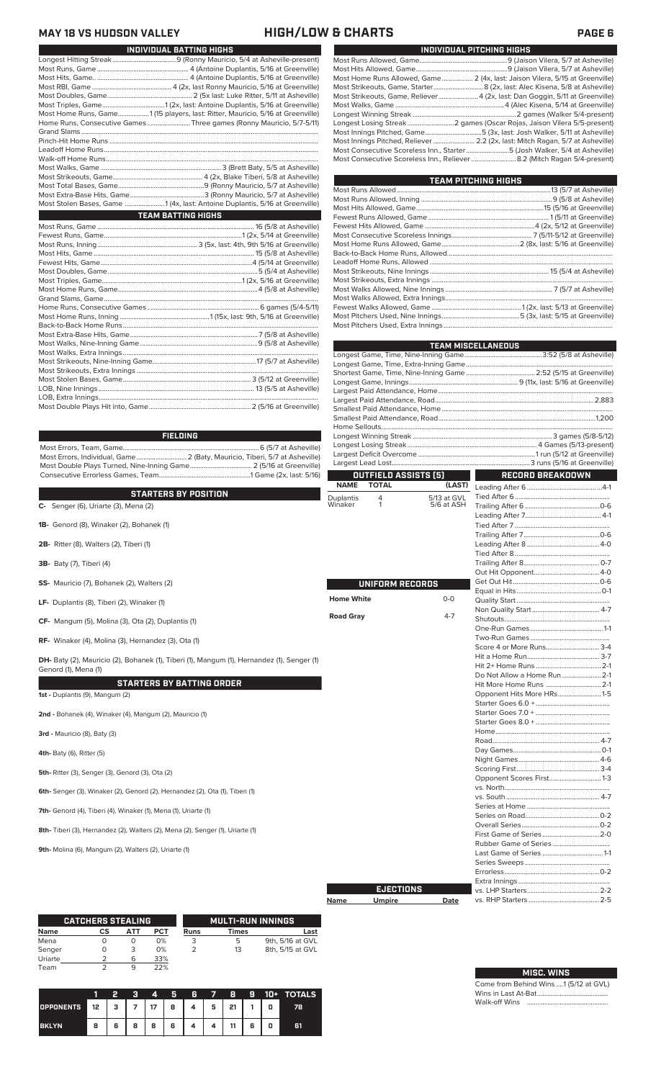## **MAY 18 VS HUDSON VALLEY HIGH/LOW & CHARTS PAGE 6**

| INDIVIDUAL BATTING HIGHS                                                       |
|--------------------------------------------------------------------------------|
|                                                                                |
|                                                                                |
|                                                                                |
|                                                                                |
|                                                                                |
|                                                                                |
| Most Home Runs, Game1 (15 players, last: Ritter, Mauricio, 5/16 at Greenville) |
| Home Runs, Consecutive Games Three games (Ronny Mauricio, 5/7-5/11)            |
|                                                                                |
|                                                                                |
|                                                                                |
|                                                                                |
|                                                                                |
|                                                                                |
|                                                                                |
|                                                                                |
| Most Stolen Bases, Game 1 (4x, last: Antoine Duplantis, 5/16 at Greenville)    |
| <b>TEAM BATTING HIGHS</b>                                                      |
|                                                                                |
|                                                                                |
|                                                                                |
|                                                                                |
|                                                                                |
|                                                                                |
|                                                                                |
|                                                                                |
|                                                                                |
|                                                                                |
|                                                                                |
|                                                                                |
|                                                                                |
|                                                                                |
|                                                                                |
|                                                                                |
|                                                                                |
|                                                                                |
|                                                                                |
|                                                                                |
|                                                                                |

**CATCHERS STEALING**

| Most Home Runs Allowed, Game 2 (4x, last: Jaison Vilera, 5/15 at Greenville)          |
|---------------------------------------------------------------------------------------|
|                                                                                       |
| Most Strikeouts, Game, Reliever 4 (2x, last: Dan Goggin, 5/11 at Greenville)          |
| Most Walks, Game ………………………………………………………………………………………4 (Alec Kisena, 5/14 at Greenville) |
|                                                                                       |
| Longest Losing Streak2 games (Oscar Rojas, Jaison Vilera 5/5-present)                 |
| Most Innings Pitched, Game5 (3x, last: Josh Walker, 5/11 at Asheville)                |
| Most Innings Pitched, Reliever  2.2 (2x, last: Mitch Ragan, 5/7 at Asheville)         |
| Most Consecutive Scoreless Inn., Starter5 (Josh Walker, 5/4 at Asheville)             |
|                                                                                       |
|                                                                                       |

**INDIVIDUAL PITCHING HIGHS**

**TEAM PITCHING HIGHS**

| (5/0 dt Astieville) (5/7 dt Astieville) بالاستستنتيني (1118-1111) (7/8 dt Astieville) (1118-1111) (1 |                   |                             |             | TEAM MISCELLANEOUS                                                 |  |
|------------------------------------------------------------------------------------------------------|-------------------|-----------------------------|-------------|--------------------------------------------------------------------|--|
|                                                                                                      |                   |                             |             |                                                                    |  |
|                                                                                                      |                   |                             |             |                                                                    |  |
|                                                                                                      |                   |                             |             |                                                                    |  |
|                                                                                                      |                   |                             |             |                                                                    |  |
|                                                                                                      |                   |                             |             |                                                                    |  |
|                                                                                                      |                   |                             |             |                                                                    |  |
|                                                                                                      |                   |                             |             |                                                                    |  |
|                                                                                                      |                   |                             |             |                                                                    |  |
|                                                                                                      |                   |                             |             |                                                                    |  |
| <b>FIELDING</b>                                                                                      |                   |                             |             |                                                                    |  |
|                                                                                                      |                   |                             |             |                                                                    |  |
|                                                                                                      |                   |                             |             |                                                                    |  |
|                                                                                                      |                   |                             |             |                                                                    |  |
|                                                                                                      |                   | <b>OUTFIELD ASSISTS [5]</b> |             | <b>RECORD BREAKDOWN</b><br>$\mathcal{L}^{\text{max}}_{\text{max}}$ |  |
|                                                                                                      | <b>NAME</b>       | <b>TOTAL</b>                | (LAST)      |                                                                    |  |
| <b>STARTERS BY POSITION</b>                                                                          | <b>Duplantis</b>  | 4                           | 5/13 at GVL |                                                                    |  |
| C- Senger (6), Uriarte (3), Mena (2)                                                                 | Winaker           | $\mathbf{1}$                | 5/6 at ASH  |                                                                    |  |
|                                                                                                      |                   |                             |             |                                                                    |  |
| 1B- Genord (8), Winaker (2), Bohanek (1)                                                             |                   |                             |             |                                                                    |  |
|                                                                                                      |                   |                             |             |                                                                    |  |
| 2B- Ritter (8), Walters (2), Tiberi (1)                                                              |                   |                             |             |                                                                    |  |
|                                                                                                      |                   |                             |             |                                                                    |  |
|                                                                                                      |                   |                             |             |                                                                    |  |
| <b>3B-</b> Baty (7), Tiberi (4)                                                                      |                   |                             |             |                                                                    |  |
|                                                                                                      |                   |                             |             |                                                                    |  |
| SS- Mauricio (7), Bohanek (2), Walters (2)                                                           |                   | UNIFORM RECORDS             |             |                                                                    |  |
|                                                                                                      | <b>Home White</b> |                             | $O-O$       |                                                                    |  |
| LF- Duplantis (8), Tiberi (2), Winaker (1)                                                           |                   |                             |             |                                                                    |  |
|                                                                                                      | <b>Road Gray</b>  |                             | $4 - 7$     |                                                                    |  |
| CF- Mangum (5), Molina (3), Ota (2), Duplantis (1)                                                   |                   |                             |             |                                                                    |  |
|                                                                                                      |                   |                             |             |                                                                    |  |
| RF- Winaker (4), Molina (3), Hernandez (3), Ota (1)                                                  |                   |                             |             |                                                                    |  |
|                                                                                                      |                   |                             |             | Score 4 or More Runs 3-4                                           |  |
| DH- Baty (2), Mauricio (2), Bohanek (1), Tiberi (1), Mangum (1), Hernandez (1), Senger (1)           |                   |                             |             |                                                                    |  |
| Genord (1), Mena (1)                                                                                 |                   |                             |             |                                                                    |  |
|                                                                                                      |                   |                             |             | Do Not Allow a Home Run 2-1                                        |  |
| <b>STARTERS BY BATTING ORDER</b>                                                                     |                   |                             |             | Hit More Home Runs  2-1                                            |  |
| 1st - Duplantis (9), Mangum (2)                                                                      |                   |                             |             | Opponent Hits More HRs1-5                                          |  |
|                                                                                                      |                   |                             |             |                                                                    |  |
| 2nd - Bohanek (4), Winaker (4), Mangum (2), Mauricio (1)                                             |                   |                             |             |                                                                    |  |
|                                                                                                      |                   |                             |             |                                                                    |  |
| 3rd - Mauricio (8), Baty (3)                                                                         |                   |                             |             |                                                                    |  |
|                                                                                                      |                   |                             |             |                                                                    |  |
| 4th- Baty (6), Ritter (5)                                                                            |                   |                             |             |                                                                    |  |
|                                                                                                      |                   |                             |             |                                                                    |  |
|                                                                                                      |                   |                             |             |                                                                    |  |
| 5th- Ritter (3), Senger (3), Genord (3), Ota (2)                                                     |                   |                             |             | Opponent Scores First 1-3                                          |  |
|                                                                                                      |                   |                             |             |                                                                    |  |
| 6th- Senger (3), Winaker (2), Genord (2), Hernandez (2), Ota (1), Tiberi (1)                         |                   |                             |             |                                                                    |  |
|                                                                                                      |                   |                             |             |                                                                    |  |
| 7th- Genord (4), Tiberi (4), Winaker (1), Mena (1), Uriarte (1)                                      |                   |                             |             |                                                                    |  |
|                                                                                                      |                   |                             |             |                                                                    |  |
| 8th-Tiberi (3), Hernandez (2), Walters (2), Mena (2), Senger (1), Uriarte (1)                        |                   |                             |             |                                                                    |  |
|                                                                                                      |                   |                             |             |                                                                    |  |
| 9th- Molina (6), Mangum (2), Walters (2), Uriarte (1)                                                |                   |                             |             |                                                                    |  |
|                                                                                                      |                   |                             |             |                                                                    |  |
|                                                                                                      |                   |                             |             |                                                                    |  |
|                                                                                                      |                   |                             |             |                                                                    |  |
|                                                                                                      |                   |                             |             |                                                                    |  |
|                                                                                                      |                   | <b>EJECTIONS</b>            |             |                                                                    |  |

| Name | <b>Umpire</b> | Date |
|------|---------------|------|
|      |               |      |

| Opponent Hits More HRs1-5 |  |
|---------------------------|--|
|                           |  |
|                           |  |
|                           |  |
|                           |  |
|                           |  |
|                           |  |
|                           |  |
|                           |  |
| Opponent Scores First 1-3 |  |
|                           |  |
|                           |  |
|                           |  |
|                           |  |
|                           |  |
|                           |  |
|                           |  |
|                           |  |
|                           |  |
|                           |  |
|                           |  |
|                           |  |
|                           |  |
|                           |  |
|                           |  |
|                           |  |
|                           |  |

| Name    | <b>CS</b> | <b>ATT</b> | <b>PCT</b> | <b>Runs</b> | <b>Times</b> |          | Last             |
|---------|-----------|------------|------------|-------------|--------------|----------|------------------|
| Mena    | 0         | 0          | 0%         | 3           | 5            |          | 9th, 5/16 at GVL |
| Senger  | O         | 3          | 0%         | 2           | 13           |          | 8th, 5/15 at GVL |
| Uriarte |           | 6          | 33%        |             |              |          |                  |
| Team    |           | 9          | 22%        |             |              |          |                  |
|         |           |            |            |             |              |          |                  |
|         |           |            |            |             |              |          |                  |
|         |           |            | 4          | 6<br>5      | 8            | 10+<br>9 | <b>TOTALS</b>    |

**MULTI-RUN INNINGS**

| Come from B         |
|---------------------|
| Wins in $I$ ast $I$ |

**MISC. WINS**

ehind Wins ....1 (5/12 at GVL) st At-Bat.... Walk-off Wins

|              |   | 2 |   | 4  | 5. | 6. | 7 | 8  | -9 | $\P$ (i) $\blacksquare$ | <b>TOTALS</b> |
|--------------|---|---|---|----|----|----|---|----|----|-------------------------|---------------|
| OPPONENTS 12 |   | з |   | 17 | 8  |    | 5 | 21 |    |                         | 78            |
| <b>BKLYN</b> | 8 | 6 | 8 | 8  | 6  |    |   |    | 6  |                         | 61            |

H Ш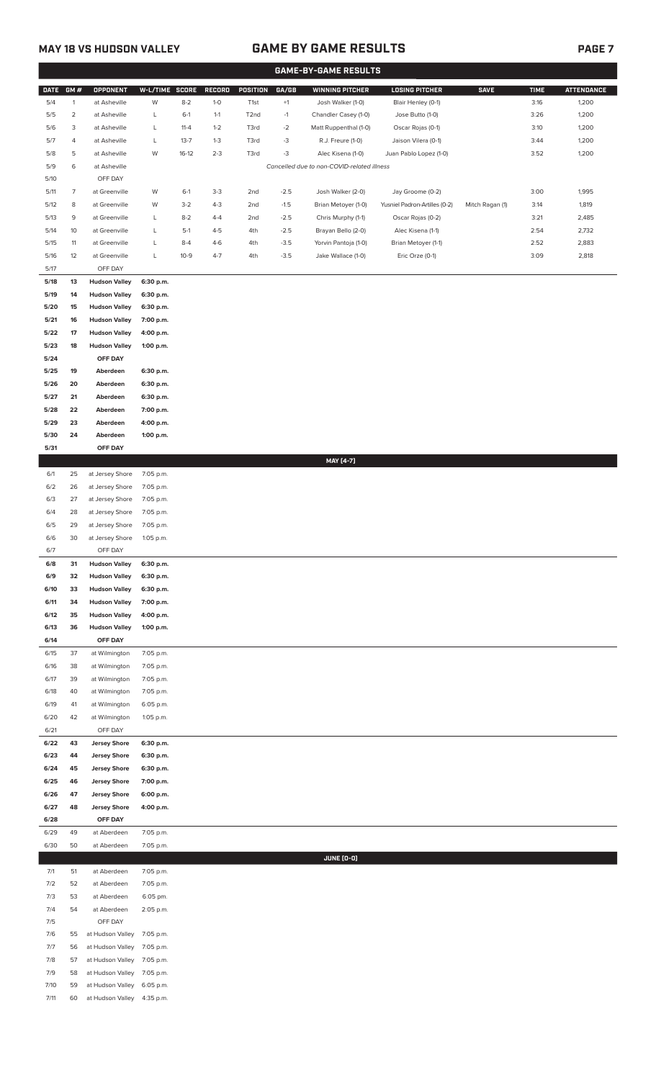## **MAY 18 VS HUDSON VALLEY GAME BY GAME RESULTS PAGE 7**

|             |                 |                      |                |          |         |                   |        | <b>GAME-BY-GAME RESULTS</b>                |                               |                 |             |                   |
|-------------|-----------------|----------------------|----------------|----------|---------|-------------------|--------|--------------------------------------------|-------------------------------|-----------------|-------------|-------------------|
| <b>DATE</b> | GM#             | <b>OPPONENT</b>      | W-L/TIME SCORE |          | RECORD  | POSITION          | GA/GB  | <b>WINNING PITCHER</b>                     | <b>LOSING PITCHER</b>         | <b>SAVE</b>     | <b>TIME</b> | <b>ATTENDANCE</b> |
| 5/4         | $\mathbf{1}$    | at Asheville         | W              | $8 - 2$  | $1-0$   | T1st              | $+1$   | Josh Walker (1-0)                          | Blair Henley (0-1)            |                 | 3:16        | 1,200             |
| 5/5         | 2               | at Asheville         | L              | $6-1$    |         |                   |        |                                            | Jose Butto (1-0)              |                 | 3:26        | 1,200             |
|             |                 |                      |                |          | $1 - 1$ | T <sub>2</sub> nd | $-1$   | Chandler Casey (1-0)                       |                               |                 |             |                   |
| 5/6         | 3               | at Asheville         | L              | $11 - 4$ | $1 - 2$ | T3rd              | $-2$   | Matt Ruppenthal (1-0)                      | Oscar Rojas (0-1)             |                 | 3:10        | 1,200             |
| 5/7         | 4               | at Asheville         | L              | $13 - 7$ | $1-3$   | T3rd              | $-3$   | R.J. Freure (1-0)                          | Jaison Vilera (0-1)           |                 | 3:44        | 1,200             |
| 5/8         | 5               | at Asheville         | W              | $16-12$  | $2 - 3$ | T3rd              | $-3$   | Alec Kisena (1-0)                          | Juan Pablo Lopez (1-0)        |                 | 3:52        | 1,200             |
| 5/9         | 6               | at Asheville         |                |          |         |                   |        | Cancelled due to non-COVID-related illness |                               |                 |             |                   |
| 5/10        |                 | OFF DAY              |                |          |         |                   |        |                                            |                               |                 |             |                   |
| 5/11        | 7               | at Greenville        | W              | $6-1$    | $3-3$   | 2nd               | $-2.5$ | Josh Walker (2-0)                          | Jay Groome (0-2)              |                 | 3:00        | 1,995             |
| 5/12        | 8               | at Greenville        | W              | $3-2$    | $4 - 3$ | 2nd               | $-1.5$ | Brian Metoyer (1-0)                        | Yusniel Padron-Artilles (0-2) | Mitch Ragan (1) | 3:14        | 1,819             |
| 5/13        | 9               | at Greenville        | L              | $8 - 2$  | $4 - 4$ | 2nd               | $-2.5$ | Chris Murphy (1-1)                         | Oscar Rojas (0-2)             |                 | 3:21        | 2,485             |
| 5/14        | 10 <sup>°</sup> | at Greenville        | L              | $5-1$    | $4 - 5$ | 4th               | $-2.5$ | Brayan Bello (2-0)                         | Alec Kisena (1-1)             |                 | 2:54        | 2,732             |
| 5/15        | 11              | at Greenville        | L              | $8 - 4$  | $4-6$   | 4th               | $-3.5$ | Yorvin Pantoja (1-0)                       | Brian Metoyer (1-1)           |                 | 2:52        | 2,883             |
| 5/16        | 12              | at Greenville        | L              | $10-9$   | $4 - 7$ | 4th               | $-3.5$ | Jake Wallace (1-0)                         | Eric Orze (0-1)               |                 | 3:09        | 2,818             |
| 5/17        |                 | OFF DAY              |                |          |         |                   |        |                                            |                               |                 |             |                   |
|             | 13              |                      |                |          |         |                   |        |                                            |                               |                 |             |                   |
| 5/18        |                 | <b>Hudson Valley</b> | 6:30 p.m.      |          |         |                   |        |                                            |                               |                 |             |                   |
| 5/19        | 14              | <b>Hudson Valley</b> | 6:30 p.m.      |          |         |                   |        |                                            |                               |                 |             |                   |
| 5/20        | 15              | <b>Hudson Valley</b> | 6:30 p.m.      |          |         |                   |        |                                            |                               |                 |             |                   |
| 5/21        | 16              | <b>Hudson Valley</b> | 7:00 p.m.      |          |         |                   |        |                                            |                               |                 |             |                   |
| 5/22        | 17              | <b>Hudson Valley</b> | 4:00 p.m.      |          |         |                   |        |                                            |                               |                 |             |                   |
| 5/23        | 18              | <b>Hudson Valley</b> | 1:00 p.m.      |          |         |                   |        |                                            |                               |                 |             |                   |
| 5/24        |                 | OFF DAY              |                |          |         |                   |        |                                            |                               |                 |             |                   |
| 5/25        | 19              | Aberdeen             | 6:30 p.m.      |          |         |                   |        |                                            |                               |                 |             |                   |
| 5/26        | 20              | Aberdeen             | 6:30 p.m.      |          |         |                   |        |                                            |                               |                 |             |                   |
| 5/27        | 21              | Aberdeen             | 6:30 p.m.      |          |         |                   |        |                                            |                               |                 |             |                   |
| 5/28        | 22              | Aberdeen             | 7:00 p.m.      |          |         |                   |        |                                            |                               |                 |             |                   |
| 5/29        | 23              | Aberdeen             | 4:00 p.m.      |          |         |                   |        |                                            |                               |                 |             |                   |
| 5/30        | 24              | Aberdeen             | 1:00 p.m.      |          |         |                   |        |                                            |                               |                 |             |                   |
| 5/31        |                 | OFF DAY              |                |          |         |                   |        |                                            |                               |                 |             |                   |
|             |                 |                      |                |          |         |                   |        |                                            |                               |                 |             |                   |
|             |                 |                      |                |          |         |                   |        | MAY [4-7]                                  |                               |                 |             |                   |
| 6/1         | 25              | at Jersey Shore      | 7:05 p.m.      |          |         |                   |        |                                            |                               |                 |             |                   |
| 6/2         | 26              | at Jersey Shore      | 7:05 p.m.      |          |         |                   |        |                                            |                               |                 |             |                   |
| 6/3         | 27              | at Jersey Shore      | 7:05 p.m.      |          |         |                   |        |                                            |                               |                 |             |                   |
| 6/4         | 28              | at Jersey Shore      | 7:05 p.m.      |          |         |                   |        |                                            |                               |                 |             |                   |
| 6/5         | 29              | at Jersey Shore      | 7:05 p.m.      |          |         |                   |        |                                            |                               |                 |             |                   |
| 6/6         | 30              | at Jersey Shore      | 1:05 p.m.      |          |         |                   |        |                                            |                               |                 |             |                   |
| 6/7         |                 | OFF DAY              |                |          |         |                   |        |                                            |                               |                 |             |                   |
| 6/8         | 31              | <b>Hudson Valley</b> | 6:30 p.m.      |          |         |                   |        |                                            |                               |                 |             |                   |
| 6/9         | 32              | <b>Hudson Valley</b> | 6:30 p.m.      |          |         |                   |        |                                            |                               |                 |             |                   |
| 6/10        | 33              | <b>Hudson Valley</b> | 6:30 p.m.      |          |         |                   |        |                                            |                               |                 |             |                   |
| 6/11        | 34              | <b>Hudson Valley</b> | 7:00 p.m.      |          |         |                   |        |                                            |                               |                 |             |                   |
| 6/12        | 35              | <b>Hudson Valley</b> | 4:00 p.m.      |          |         |                   |        |                                            |                               |                 |             |                   |
| 6/13        | 36              | <b>Hudson Valley</b> | 1:00 p.m.      |          |         |                   |        |                                            |                               |                 |             |                   |
| 6/14        |                 | OFF DAY              |                |          |         |                   |        |                                            |                               |                 |             |                   |
| 6/15        | 37              | at Wilmington        | 7:05 p.m.      |          |         |                   |        |                                            |                               |                 |             |                   |
| 6/16        | 38              | at Wilmington        | 7:05 p.m.      |          |         |                   |        |                                            |                               |                 |             |                   |
|             |                 |                      |                |          |         |                   |        |                                            |                               |                 |             |                   |
| 6/17        | 39              | at Wilmington        | 7:05 p.m.      |          |         |                   |        |                                            |                               |                 |             |                   |
| 6/18        | 40              | at Wilmington        | 7:05 p.m.      |          |         |                   |        |                                            |                               |                 |             |                   |
| 6/19        | 41              | at Wilmington        | 6:05 p.m.      |          |         |                   |        |                                            |                               |                 |             |                   |
| 6/20        | 42              | at Wilmington        | 1:05 p.m.      |          |         |                   |        |                                            |                               |                 |             |                   |
| 6/21        |                 | OFF DAY              |                |          |         |                   |        |                                            |                               |                 |             |                   |
| 6/22        | 43              | <b>Jersey Shore</b>  | 6:30 p.m.      |          |         |                   |        |                                            |                               |                 |             |                   |
| 6/23        | 44              | <b>Jersey Shore</b>  | 6:30 p.m.      |          |         |                   |        |                                            |                               |                 |             |                   |
| 6/24        | 45              | <b>Jersey Shore</b>  | 6:30 p.m.      |          |         |                   |        |                                            |                               |                 |             |                   |
| 6/25        | 46              | <b>Jersey Shore</b>  | 7:00 p.m.      |          |         |                   |        |                                            |                               |                 |             |                   |
| 6/26        | 47              | <b>Jersey Shore</b>  | 6:00 p.m.      |          |         |                   |        |                                            |                               |                 |             |                   |
| 6/27        | 48              | <b>Jersey Shore</b>  | 4:00 p.m.      |          |         |                   |        |                                            |                               |                 |             |                   |
| 6/28        |                 | OFF DAY              |                |          |         |                   |        |                                            |                               |                 |             |                   |
| 6/29        | 49              | at Aberdeen          | 7:05 p.m.      |          |         |                   |        |                                            |                               |                 |             |                   |
| 6/30        | 50              | at Aberdeen          | 7:05 p.m.      |          |         |                   |        |                                            |                               |                 |             |                   |
|             |                 |                      |                |          |         |                   |        | JUNE (0-0)                                 |                               |                 |             |                   |
| $7/1$       | 51              | at Aberdeen          | 7:05 p.m.      |          |         |                   |        |                                            |                               |                 |             |                   |
| 7/2         | 52              | at Aberdeen          |                |          |         |                   |        |                                            |                               |                 |             |                   |
|             |                 |                      | 7:05 p.m.      |          |         |                   |        |                                            |                               |                 |             |                   |
| 7/3         | 53              | at Aberdeen          | 6:05 pm.       |          |         |                   |        |                                            |                               |                 |             |                   |
| 7/4         | 54              | at Aberdeen          | 2:05 p.m.      |          |         |                   |        |                                            |                               |                 |             |                   |
| 7/5         |                 | OFF DAY              |                |          |         |                   |        |                                            |                               |                 |             |                   |
| 7/6         | 55              | at Hudson Valley     | 7:05 p.m.      |          |         |                   |        |                                            |                               |                 |             |                   |
| 7/7         | 56              | at Hudson Valley     | 7:05 p.m.      |          |         |                   |        |                                            |                               |                 |             |                   |
| 7/8         | 57              | at Hudson Valley     | 7:05 p.m.      |          |         |                   |        |                                            |                               |                 |             |                   |
| 7/9         | 58              | at Hudson Valley     | 7:05 p.m.      |          |         |                   |        |                                            |                               |                 |             |                   |
| 7/10        | 59              | at Hudson Valley     | 6:05 p.m.      |          |         |                   |        |                                            |                               |                 |             |                   |
| 7/11        | 60              | at Hudson Valley     | 4:35 p.m.      |          |         |                   |        |                                            |                               |                 |             |                   |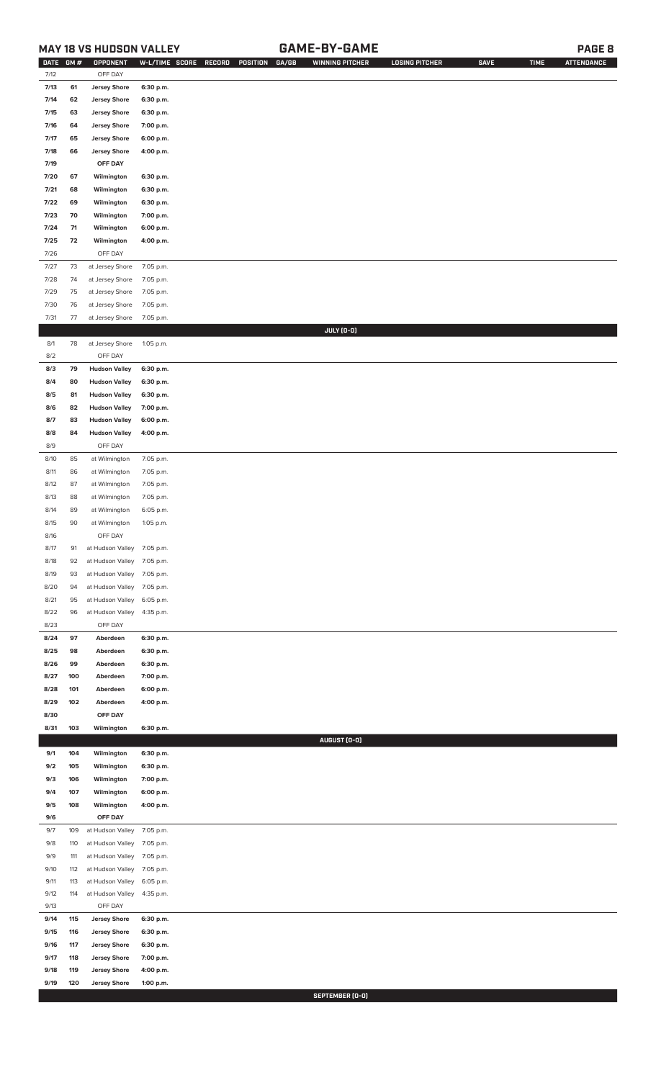## **MAY 18 VS HUDSON VALLEY GAME-BY-GAME PAGE 8**

| <b>DATE</b>  | GM#      | OPPONENT                       | W-L/TIME SCORE         | GA/GB<br>RECORD<br>POSITION | <b>WINNING PITCHER</b> | <b>LOSING PITCHER</b> | <b>SAVE</b> | <b>TIME</b> | <b>ATTENDANCE</b> |
|--------------|----------|--------------------------------|------------------------|-----------------------------|------------------------|-----------------------|-------------|-------------|-------------------|
| 7/12         |          | OFF DAY                        |                        |                             |                        |                       |             |             |                   |
| 7/13         | 61       | <b>Jersey Shore</b>            | 6:30 p.m.              |                             |                        |                       |             |             |                   |
| 7/14         | 62       | <b>Jersey Shore</b>            | 6:30 p.m.              |                             |                        |                       |             |             |                   |
| 7/15         | 63       | <b>Jersey Shore</b>            | 6:30 p.m.              |                             |                        |                       |             |             |                   |
| 7/16         | 64       | <b>Jersey Shore</b>            | 7:00 p.m.              |                             |                        |                       |             |             |                   |
| 7/17         | 65       | <b>Jersey Shore</b>            | 6:00 p.m.              |                             |                        |                       |             |             |                   |
| 7/18         | 66       | <b>Jersey Shore</b>            | 4:00 p.m.              |                             |                        |                       |             |             |                   |
| 7/19         |          | OFF DAY                        |                        |                             |                        |                       |             |             |                   |
| 7/20         | 67       | Wilmington                     | 6:30 p.m.              |                             |                        |                       |             |             |                   |
| 7/21         | 68       | Wilmington                     | 6:30 p.m.              |                             |                        |                       |             |             |                   |
| 7/22         | 69       | Wilmington                     | 6:30 p.m.              |                             |                        |                       |             |             |                   |
| 7/23         | 70       | Wilmington                     | 7:00 p.m.              |                             |                        |                       |             |             |                   |
| 7/24         | 71       | Wilmington                     | 6:00 p.m.              |                             |                        |                       |             |             |                   |
| 7/25         | 72       | Wilmington                     | 4:00 p.m.              |                             |                        |                       |             |             |                   |
| 7/26         |          | OFF DAY                        |                        |                             |                        |                       |             |             |                   |
| 7/27         | 73       | at Jersey Shore                | 7:05 p.m.              |                             |                        |                       |             |             |                   |
| 7/28         | 74       | at Jersey Shore                | 7:05 p.m.              |                             |                        |                       |             |             |                   |
| 7/29         | 75       | at Jersey Shore                | 7:05 p.m.              |                             |                        |                       |             |             |                   |
| $7/30$       | 76       | at Jersey Shore                | 7:05 p.m.              |                             |                        |                       |             |             |                   |
| 7/31         | 77       | at Jersey Shore                | 7:05 p.m.              |                             |                        |                       |             |             |                   |
|              |          |                                |                        |                             | JULY (0-0)             |                       |             |             |                   |
| 8/1          | 78       | at Jersey Shore                | 1:05 p.m.              |                             |                        |                       |             |             |                   |
| 8/2          |          | OFF DAY                        |                        |                             |                        |                       |             |             |                   |
| 8/3          | 79       | <b>Hudson Valley</b>           | 6:30 p.m.              |                             |                        |                       |             |             |                   |
| 8/4          | 80       | <b>Hudson Valley</b>           | 6:30 p.m.              |                             |                        |                       |             |             |                   |
| 8/5          | 81       | <b>Hudson Valley</b>           | 6:30 p.m.              |                             |                        |                       |             |             |                   |
| 8/6          | 82       | <b>Hudson Valley</b>           | 7:00 p.m.              |                             |                        |                       |             |             |                   |
| 8/7          | 83       | <b>Hudson Valley</b>           | 6:00 p.m.              |                             |                        |                       |             |             |                   |
| 8/8          | 84       | <b>Hudson Valley</b>           | 4:00 p.m.              |                             |                        |                       |             |             |                   |
| 8/9          |          | OFF DAY                        |                        |                             |                        |                       |             |             |                   |
| 8/10<br>8/11 | 85<br>86 | at Wilmington<br>at Wilmington | 7:05 p.m.              |                             |                        |                       |             |             |                   |
| 8/12         | 87       | at Wilmington                  | 7:05 p.m.<br>7:05 p.m. |                             |                        |                       |             |             |                   |
| 8/13         | 88       | at Wilmington                  | 7:05 p.m.              |                             |                        |                       |             |             |                   |
| 8/14         | 89       | at Wilmington                  | 6:05 p.m.              |                             |                        |                       |             |             |                   |
| 8/15         | 90       | at Wilmington                  | 1:05 p.m.              |                             |                        |                       |             |             |                   |
| 8/16         |          | OFF DAY                        |                        |                             |                        |                       |             |             |                   |
| 8/17         | 91       | at Hudson Valley 7:05 p.m.     |                        |                             |                        |                       |             |             |                   |
| 8/18         | 92       | at Hudson Valley               | 7:05 p.m.              |                             |                        |                       |             |             |                   |
| 8/19         | 93       | at Hudson Valley               | 7:05 p.m.              |                             |                        |                       |             |             |                   |
| 8/20         | 94       | at Hudson Valley               | 7:05 p.m.              |                             |                        |                       |             |             |                   |
| 8/21         | 95       | at Hudson Valley               | 6:05 p.m.              |                             |                        |                       |             |             |                   |
| 8/22         | 96       | at Hudson Valley               | 4:35 p.m.              |                             |                        |                       |             |             |                   |
| 8/23         |          | OFF DAY                        |                        |                             |                        |                       |             |             |                   |
| 8/24         | 97       | Aberdeen                       | 6:30 p.m.              |                             |                        |                       |             |             |                   |
| 8/25         | 98       | Aberdeen                       | 6:30 p.m.              |                             |                        |                       |             |             |                   |
| 8/26         | 99       | Aberdeen                       | 6:30 p.m.              |                             |                        |                       |             |             |                   |
| 8/27         | 100      | Aberdeen                       | 7:00 p.m.              |                             |                        |                       |             |             |                   |
| 8/28         | 101      | Aberdeen                       | 6:00 p.m.              |                             |                        |                       |             |             |                   |
| 8/29         | 102      | Aberdeen                       | 4:00 p.m.              |                             |                        |                       |             |             |                   |
| 8/30         |          | OFF DAY                        |                        |                             |                        |                       |             |             |                   |
| 8/31         | 103      | Wilmington                     | 6:30 p.m.              |                             |                        |                       |             |             |                   |
|              |          |                                |                        |                             | AUGUST (0-0)           |                       |             |             |                   |
| 9/1          | 104      | Wilmington                     | 6:30 p.m.              |                             |                        |                       |             |             |                   |
| 9/2          | 105      | Wilmington                     | 6:30 p.m.              |                             |                        |                       |             |             |                   |
| 9/3          | 106      | Wilmington                     | 7:00 p.m.              |                             |                        |                       |             |             |                   |
| 9/4          | 107      | Wilmington                     | 6:00 p.m.              |                             |                        |                       |             |             |                   |
| 9/5          | 108      | Wilmington                     | 4:00 p.m.              |                             |                        |                       |             |             |                   |
| 9/6          |          | OFF DAY                        |                        |                             |                        |                       |             |             |                   |
| 9/7          | 109      | at Hudson Valley               | 7:05 p.m.              |                             |                        |                       |             |             |                   |
| 9/8          | 110      | at Hudson Valley               | 7:05 p.m.              |                             |                        |                       |             |             |                   |
| 9/9          | 111      | at Hudson Valley               | 7:05 p.m.              |                             |                        |                       |             |             |                   |
| 9/10         | 112      | at Hudson Valley               | 7:05 p.m.              |                             |                        |                       |             |             |                   |
| 9/11         | 113      | at Hudson Valley               | 6:05 p.m.              |                             |                        |                       |             |             |                   |
| 9/12         | 114      | at Hudson Valley               | 4:35 p.m.              |                             |                        |                       |             |             |                   |
| 9/13         |          | OFF DAY                        |                        |                             |                        |                       |             |             |                   |
| 9/14         | 115      | <b>Jersey Shore</b>            | 6:30 p.m.              |                             |                        |                       |             |             |                   |
| 9/15         | 116      | <b>Jersey Shore</b>            | 6:30 p.m.              |                             |                        |                       |             |             |                   |
| 9/16         | 117      | <b>Jersey Shore</b>            | 6:30 p.m.              |                             |                        |                       |             |             |                   |
| 9/17         | 118      | <b>Jersey Shore</b>            | 7:00 p.m.              |                             |                        |                       |             |             |                   |
| 9/18         | 119      | <b>Jersey Shore</b>            | 4:00 p.m.              |                             |                        |                       |             |             |                   |
| 9/19         | 120      | <b>Jersey Shore</b>            | 1:00 p.m.              |                             |                        |                       |             |             |                   |

**SEPTEMBER (0-0)**<br>The SEPTEMBER (0-0)